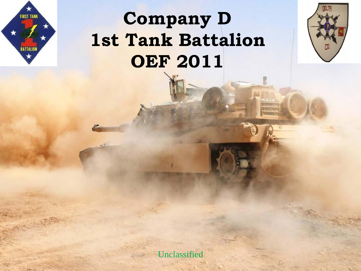## **Company D 1st Tank Battalion OEF 2011**

**FIRST TANK** 

BATTALION

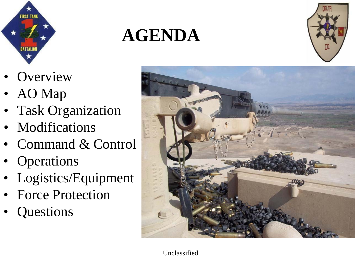

## **AGENDA**



- **Overview**
- AO Map
- Task Organization
- Modifications
- Command & Control
- **Operations**
- Logistics/Equipment
- Force Protection
- **Questions**

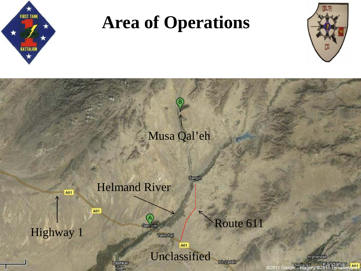

## **Area of Operations**



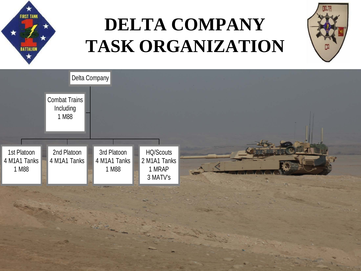

# **DELTA COMPANY TASK ORGANIZATION**



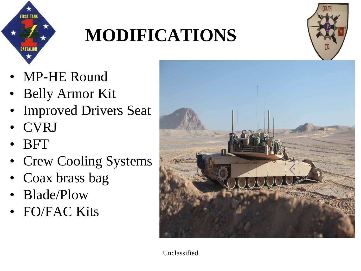

# **MODIFICATIONS**



- MP-HE Round
- Belly Armor Kit
- **Improved Drivers Seat**
- CVRJ
- BFT
- Crew Cooling Systems
- Coax brass bag
- Blade/Plow
- FO/FAC Kits

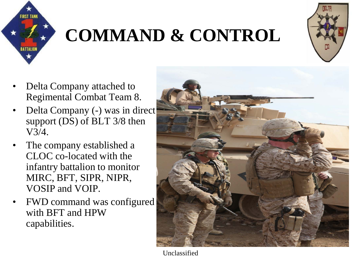

# **COMMAND & CONTROL**



- Delta Company attached to Regimental Combat Team 8.
- Delta Company (-) was in direct support (DS) of BLT 3/8 then V3/4.
- The company established a CLOC co-located with the infantry battalion to monitor MIRC, BFT, SIPR, NIPR, VOSIP and VOIP.
- FWD command was configured with BFT and HPW capabilities.

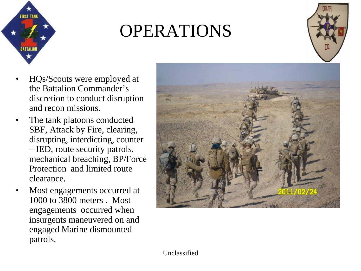

## OPERATIONS



- HQs/Scouts were employed at the Battalion Commander's discretion to conduct disruption and recon missions.
- The tank platoons conducted SBF, Attack by Fire, clearing, disrupting, interdicting, counter – IED, route security patrols, mechanical breaching, BP/Force Protection and limited route clearance.
- Most engagements occurred at 1000 to 3800 meters . Most engagements occurred when insurgents maneuvered on and engaged Marine dismounted patrols.

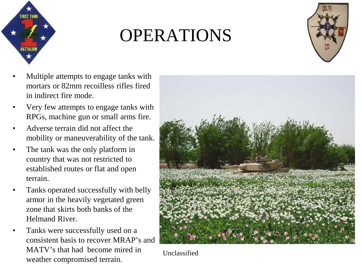

#### OPERATIONS



- Multiple attempts to engage tanks with mortars or 82mm recoilless rifles fired in indirect fire mode.
- Very few attempts to engage tanks with RPGs, machine gun or small arms fire.
- Adverse terrain did not affect the mobility or maneuverability of the tank.
- The tank was the only platform in country that was not restricted to established routes or flat and open terrain.
- Tanks operated successfully with belly armor in the heavily vegetated green zone that skirts both banks of the Helmand River.
- Tanks were successfully used on a consistent basis to recover MRAP's and MATV's that had become mired in weather compromised terrain.

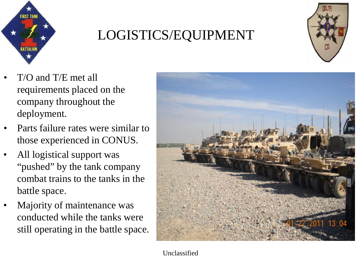

#### LOGISTICS/EQUIPMENT



- T/O and T/E met all requirements placed on the company throughout the deployment.
- Parts failure rates were similar to those experienced in CONUS.
- All logistical support was "pushed" by the tank company combat trains to the tanks in the battle space.
- Majority of maintenance was conducted while the tanks were still operating in the battle space.

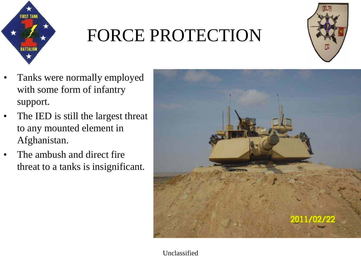

# FORCE PROTECTION



- Tanks were normally employed with some form of infantry support.
- The IED is still the largest threat to any mounted element in Afghanistan.
- The ambush and direct fire threat to a tanks is insignificant.